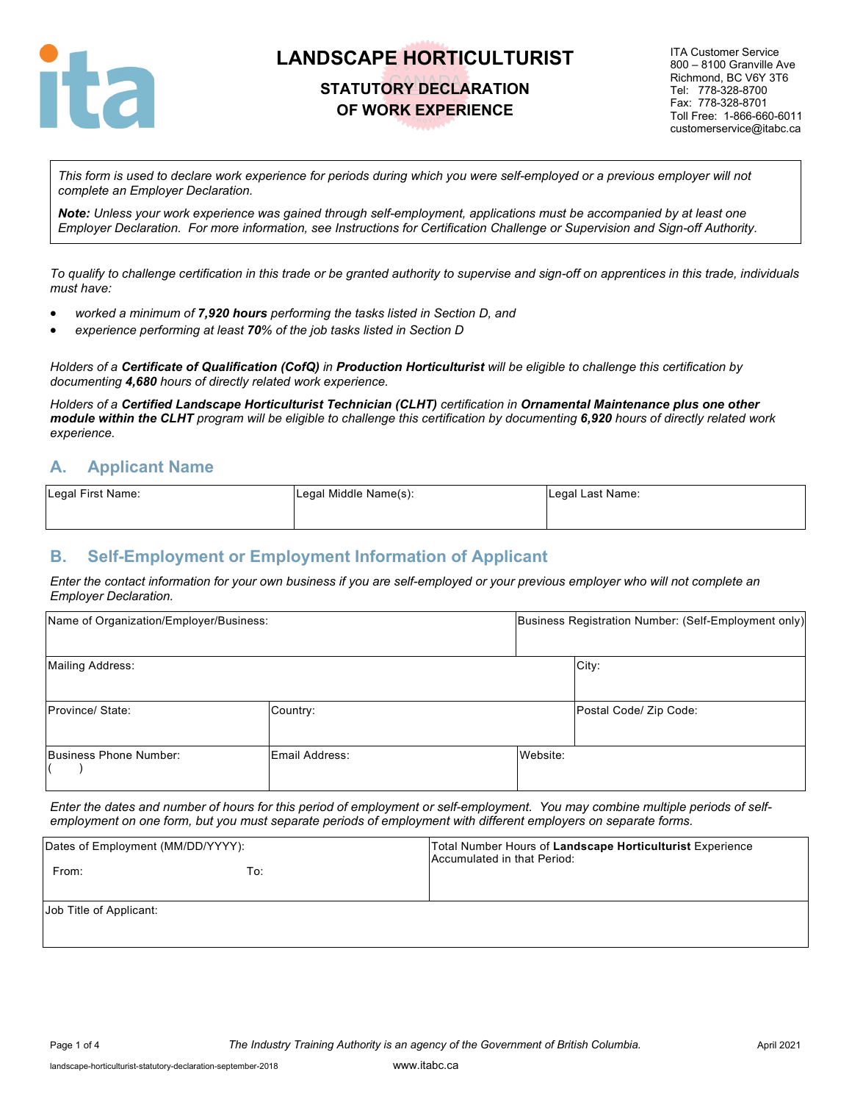

### **STATUTORY DECLARATION OF WORK EXPERIENCE**

ITA Customer Service 800 – 8100 Granville Ave Richmond, BC V6Y 3T6 Tel: 778-328-8700 Fax: 778-328-8701 Toll Free: 1-866-660-6011 customerservice@itabc.ca

*This form is used to declare work experience for periods during which you were self-employed or a previous employer will not complete an Employer Declaration.* 

*Note: Unless your work experience was gained through self-employment, applications must be accompanied by at least one Employer Declaration. For more information, see Instructions for Certification Challenge or Supervision and Sign-off Authority.*

*To qualify to challenge certification in this trade or be granted authority to supervise and sign-off on apprentices in this trade, individuals must have:*

- *worked a minimum of 7,920 hours performing the tasks listed in Section D, and*
- *experience performing at least 70% of the job tasks listed in Section D*

*Holders of a Certificate of Qualification (CofQ) in Production Horticulturist will be eligible to challenge this certification by documenting 4,680 hours of directly related work experience.*

*Holders of a Certified Landscape Horticulturist Technician (CLHT) certification in Ornamental Maintenance plus one other module within the CLHT program will be eligible to challenge this certification by documenting 6,920 hours of directly related work experience.*

#### **A. Applicant Name**

| Legal First Name: | Legal Middle Name(s): | Legal Last Name: |
|-------------------|-----------------------|------------------|
|                   |                       |                  |

### **B. Self-Employment or Employment Information of Applicant**

*Enter the contact information for your own business if you are self-employed or your previous employer who will not complete an Employer Declaration.*

| Name of Organization/Employer/Business: | Business Registration Number: (Self-Employment only) |          |                        |  |
|-----------------------------------------|------------------------------------------------------|----------|------------------------|--|
| Mailing Address:                        |                                                      |          | City:                  |  |
| Province/State:                         | Country:                                             |          | Postal Code/ Zip Code: |  |
| Business Phone Number:                  | Email Address:                                       | Website: |                        |  |

*Enter the dates and number of hours for this period of employment or self-employment. You may combine multiple periods of selfemployment on one form, but you must separate periods of employment with different employers on separate forms.*

| Dates of Employment (MM/DD/YYYY): |     | Total Number Hours of Landscape Horticulturist Experience<br>Accumulated in that Period: |
|-----------------------------------|-----|------------------------------------------------------------------------------------------|
| From:                             | To: |                                                                                          |
| Job Title of Applicant:           |     |                                                                                          |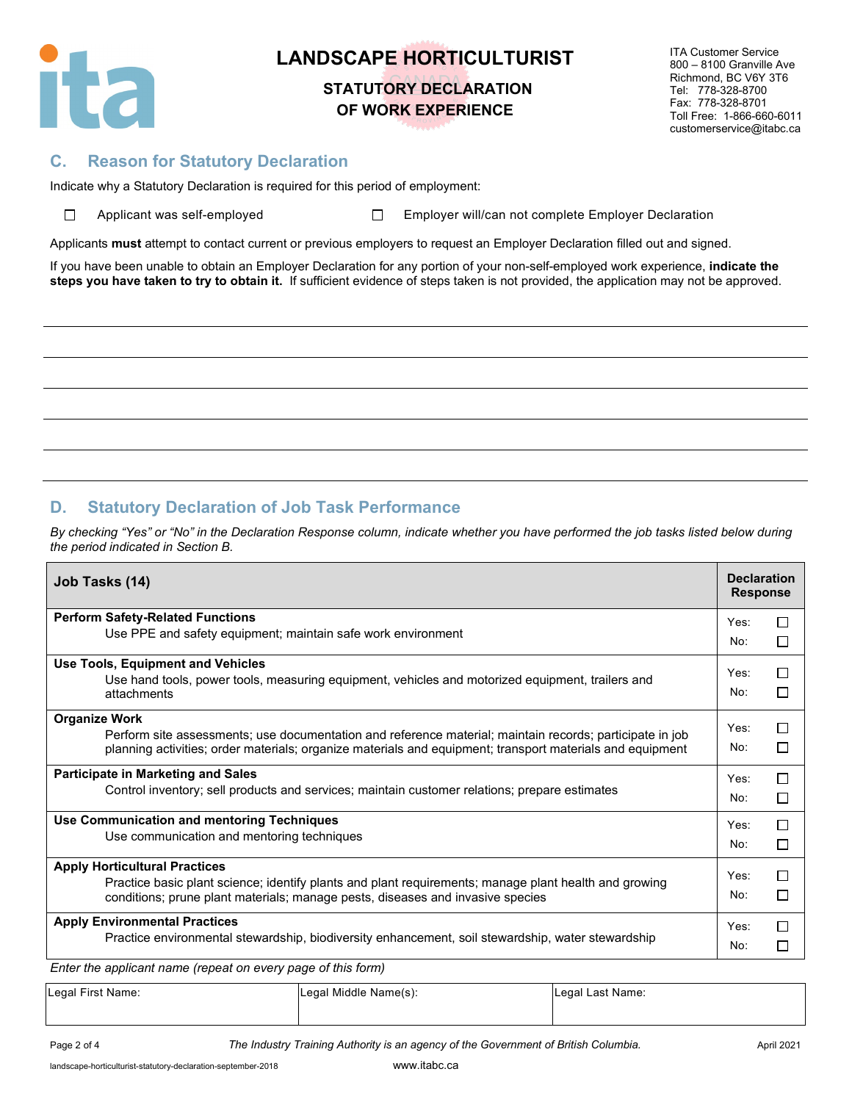

# **STATUTORY DECLARATION OF WORK EXPERIENCE**

ITA Customer Service 800 – 8100 Granville Ave Richmond, BC V6Y 3T6 Tel: 778-328-8700 Fax: 778-328-8701 Toll Free: 1-866-660-6011 customerservice@itabc.ca

### **C. Reason for Statutory Declaration**

Indicate why a Statutory Declaration is required for this period of employment:

| □ | Applicant was self-emplo |  |  |
|---|--------------------------|--|--|
|   |                          |  |  |

oyed **Employer will/can not complete Employer Declaration** 

Applicants **must** attempt to contact current or previous employers to request an Employer Declaration filled out and signed.

If you have been unable to obtain an Employer Declaration for any portion of your non-self-employed work experience, **indicate the steps you have taken to try to obtain it.** If sufficient evidence of steps taken is not provided, the application may not be approved.

### **D. Statutory Declaration of Job Task Performance**

*By checking "Yes" or "No" in the Declaration Response column, indicate whether you have performed the job tasks listed below during the period indicated in Section B.*

| Job Tasks (14)                                                                                            | <b>Declaration</b><br><b>Response</b> |    |  |  |  |  |  |
|-----------------------------------------------------------------------------------------------------------|---------------------------------------|----|--|--|--|--|--|
| <b>Perform Safety-Related Functions</b>                                                                   | Yes:                                  | П  |  |  |  |  |  |
| Use PPE and safety equipment; maintain safe work environment                                              |                                       |    |  |  |  |  |  |
| <b>Use Tools, Equipment and Vehicles</b>                                                                  | Yes:                                  | П  |  |  |  |  |  |
| Use hand tools, power tools, measuring equipment, vehicles and motorized equipment, trailers and          |                                       |    |  |  |  |  |  |
| attachments                                                                                               | No:                                   | П  |  |  |  |  |  |
| <b>Organize Work</b>                                                                                      | Yes:                                  | П  |  |  |  |  |  |
| Perform site assessments; use documentation and reference material; maintain records; participate in job  |                                       |    |  |  |  |  |  |
| planning activities; order materials; organize materials and equipment; transport materials and equipment | No:                                   | ΙI |  |  |  |  |  |
| <b>Participate in Marketing and Sales</b>                                                                 | Yes:                                  | П  |  |  |  |  |  |
| Control inventory; sell products and services; maintain customer relations; prepare estimates             | No:                                   | □  |  |  |  |  |  |
| Use Communication and mentoring Techniques                                                                | Yes:                                  | П  |  |  |  |  |  |
| Use communication and mentoring techniques                                                                | No:                                   | П  |  |  |  |  |  |
|                                                                                                           |                                       |    |  |  |  |  |  |
| <b>Apply Horticultural Practices</b>                                                                      | Yes:                                  | П  |  |  |  |  |  |
| Practice basic plant science; identify plants and plant requirements; manage plant health and growing     | No:                                   | П  |  |  |  |  |  |
| conditions; prune plant materials; manage pests, diseases and invasive species                            |                                       |    |  |  |  |  |  |
| <b>Apply Environmental Practices</b>                                                                      | Yes:                                  | ΙI |  |  |  |  |  |
| Practice environmental stewardship, biodiversity enhancement, soil stewardship, water stewardship         |                                       |    |  |  |  |  |  |
| Enter the annicant name (reneat on every name of this form)                                               |                                       |    |  |  |  |  |  |

*Enter the applicant name (repeat on every page of this form)*

| Legal First Name: |  |
|-------------------|--|
|-------------------|--|

Legal Middle Name(s): Legal Last Name:

Page 2 of 4 **The Industry Training Authority is an agency of the Government of British Columbia.** April 2021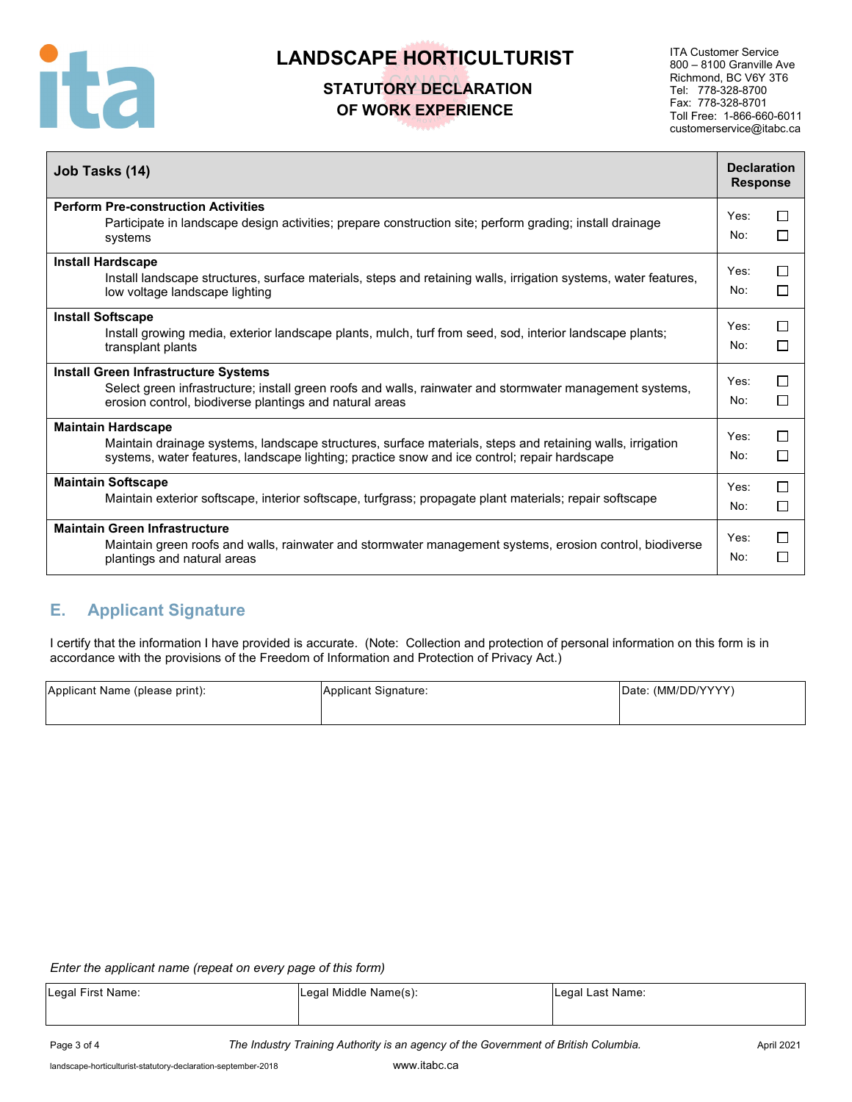

## **STATUTORY DECLARATION OF WORK EXPERIENCE**

ITA Customer Service 800 – 8100 Granville Ave Richmond, BC V6Y 3T6 Tel: 778-328-8700 Fax: 778-328-8701 Toll Free: 1-866-660-6011 customerservice@itabc.ca

| Job Tasks (14)                                                                                                                                                                                                                         |                         |                                |  |  |  |
|----------------------------------------------------------------------------------------------------------------------------------------------------------------------------------------------------------------------------------------|-------------------------|--------------------------------|--|--|--|
| <b>Perform Pre-construction Activities</b><br>Participate in landscape design activities; prepare construction site; perform grading; install drainage<br>systems                                                                      | Yes:<br>No:             | ΙI<br>n.                       |  |  |  |
| <b>Install Hardscape</b><br>Install landscape structures, surface materials, steps and retaining walls, irrigation systems, water features,<br>low voltage landscape lighting                                                          | Yes:<br>No:             | H                              |  |  |  |
| <b>Install Softscape</b><br>Install growing media, exterior landscape plants, mulch, turf from seed, sod, interior landscape plants;<br>transplant plants                                                                              | Yes <sup>-</sup><br>No: | ΙI<br>$\overline{\phantom{a}}$ |  |  |  |
| <b>Install Green Infrastructure Systems</b><br>Select green infrastructure; install green roofs and walls, rainwater and stormwater management systems,<br>erosion control, biodiverse plantings and natural areas                     | Yes:<br>No:             | ΙI<br>□                        |  |  |  |
| <b>Maintain Hardscape</b><br>Maintain drainage systems, landscape structures, surface materials, steps and retaining walls, irrigation<br>systems, water features, landscape lighting; practice snow and ice control; repair hardscape | Yes:<br>No:             | П<br>ΙI                        |  |  |  |
| <b>Maintain Softscape</b><br>Maintain exterior softscape, interior softscape, turfgrass; propagate plant materials; repair softscape                                                                                                   | Yes:<br>No:             | П<br>$\blacksquare$            |  |  |  |
| <b>Maintain Green Infrastructure</b><br>Maintain green roofs and walls, rainwater and stormwater management systems, erosion control, biodiverse<br>plantings and natural areas                                                        | Yes:<br>No:             | H                              |  |  |  |

### **E. Applicant Signature**

I certify that the information I have provided is accurate. (Note: Collection and protection of personal information on this form is in accordance with the provisions of the Freedom of Information and Protection of Privacy Act.)

| Applicant Name (please print): | Applicant Signature: | Date: (MM/DD/YYYY) |
|--------------------------------|----------------------|--------------------|
|                                |                      |                    |
|                                |                      |                    |

#### *Enter the applicant name (repeat on every page of this form)*

| Legal First Name: | Legal Middle Name(s): | Legal Last Name: |  |  |
|-------------------|-----------------------|------------------|--|--|
|                   |                       |                  |  |  |
|                   |                       |                  |  |  |

Page 3 of 4 **The Industry Training Authority is an agency of the Government of British Columbia.** April 2021